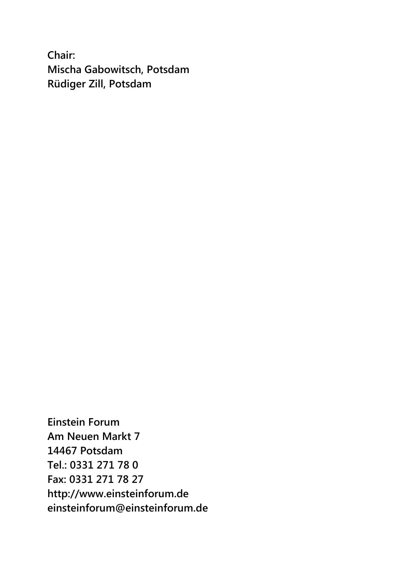**Chair: Mischa Gabowitsch, Potsdam Rüdiger Zill, Potsdam**

**Einstein Forum Am Neuen Markt 7 14467 Potsdam Tel.: 0331 271 78 0 Fax: 0331 271 78 27 http://www.einsteinforum.de einsteinforum@einsteinforum.de**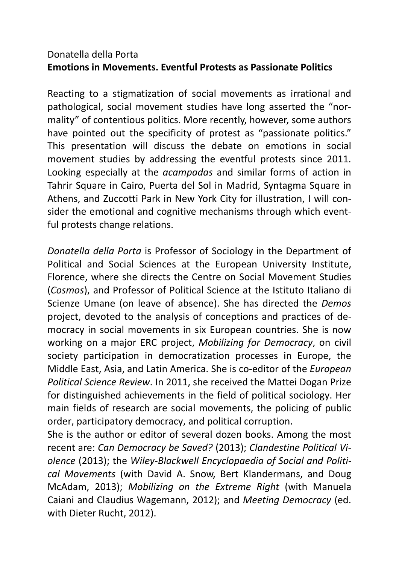# Donatella della Porta **Emotions in Movements. Eventful Protests as Passionate Politics**

Reacting to a stigmatization of social movements as irrational and pathological, social movement studies have long asserted the "normality" of contentious politics. More recently, however, some authors have pointed out the specificity of protest as "passionate politics." This presentation will discuss the debate on emotions in social movement studies by addressing the eventful protests since 2011. Looking especially at the *acampadas* and similar forms of action in Tahrir Square in Cairo, Puerta del Sol in Madrid, Syntagma Square in Athens, and Zuccotti Park in New York City for illustration, I will consider the emotional and cognitive mechanisms through which eventful protests change relations.

*Donatella della Porta* is Professor of Sociology in the Department of Political and Social Sciences at the European University Institute, Florence, where she directs the Centre on Social Movement Studies (*Cosmos*), and Professor of Political Science at the Istituto Italiano di Scienze Umane (on leave of absence). She has directed the *Demos* project, devoted to the analysis of conceptions and practices of democracy in social movements in six European countries. She is now working on a major ERC project, *Mobilizing for Democracy*, on civil society participation in democratization processes in Europe, the Middle East, Asia, and Latin America. She is co-editor of the *European Political Science Review*. In 2011, she received the Mattei Dogan Prize for distinguished achievements in the field of political sociology. Her main fields of research are social movements, the policing of public order, participatory democracy, and political corruption.

She is the author or editor of several dozen books. Among the most recent are: *Can Democracy be Saved?* (2013); *Clandestine Political Violence* (2013); the *Wiley-Blackwell Encyclopaedia of Social and Political Movements* (with David A. Snow, Bert Klandermans, and Doug McAdam, 2013); *Mobilizing on the Extreme Right* (with Manuela Caiani and Claudius Wagemann, 2012); and *Meeting Democracy* (ed. with Dieter Rucht, 2012).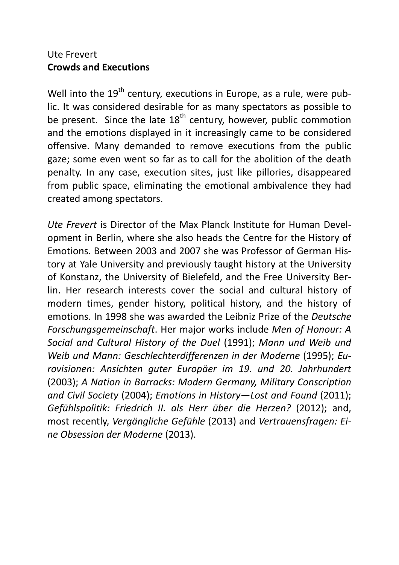# Ute Frevert **Crowds and Executions**

Well into the  $19<sup>th</sup>$  century, executions in Europe, as a rule, were public. It was considered desirable for as many spectators as possible to be present. Since the late  $18<sup>th</sup>$  century, however, public commotion and the emotions displayed in it increasingly came to be considered offensive. Many demanded to remove executions from the public gaze; some even went so far as to call for the abolition of the death penalty. In any case, execution sites, just like pillories, disappeared from public space, eliminating the emotional ambivalence they had created among spectators.

*Ute Frevert* is Director of the Max Planck Institute for Human Development in Berlin, where she also heads the Centre for the History of Emotions. Between 2003 and 2007 she was Professor of German History at Yale University and previously taught history at the University of Konstanz, the University of Bielefeld, and the Free University Berlin. Her research interests cover the social and cultural history of modern times, gender history, political history, and the history of emotions. In 1998 she was awarded the Leibniz Prize of the *Deutsche Forschungsgemeinschaft*. Her major works include *Men of Honour: A Social and Cultural History of the Duel* (1991); *Mann und Weib und Weib und Mann: Geschlechterdifferenzen in der Moderne* (1995); *Eurovisionen: Ansichten guter Europäer im 19. und 20. Jahrhundert* (2003); *A Nation in Barracks: Modern Germany, Military Conscription and Civil Society* (2004); *Emotions in History—Lost and Found* (2011); *Gefühlspolitik: Friedrich II. als Herr über die Herzen?* (2012); and, most recently, *Vergängliche Gefühle* (2013) and *Vertrauensfragen: Eine Obsession der Moderne* (2013).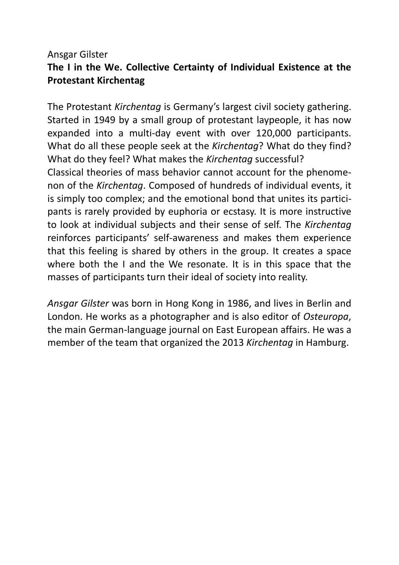# Ansgar Gilster **The I in the We. Collective Certainty of Individual Existence at the Protestant Kirchentag**

The Protestant *Kirchentag* is Germany's largest civil society gathering. Started in 1949 by a small group of protestant laypeople, it has now expanded into a multi-day event with over 120,000 participants. What do all these people seek at the *Kirchentag*? What do they find? What do they feel? What makes the *Kirchentag* successful? Classical theories of mass behavior cannot account for the phenomenon of the *Kirchentag*. Composed of hundreds of individual events, it is simply too complex; and the emotional bond that unites its participants is rarely provided by euphoria or ecstasy. It is more instructive to look at individual subjects and their sense of self. The *Kirchentag* reinforces participants' self-awareness and makes them experience that this feeling is shared by others in the group. It creates a space where both the I and the We resonate. It is in this space that the masses of participants turn their ideal of society into reality.

*Ansgar Gilster* was born in Hong Kong in 1986, and lives in Berlin and London. He works as a photographer and is also editor of *Osteuropa*, the main German-language journal on East European affairs. He was a member of the team that organized the 2013 *Kirchentag* in Hamburg.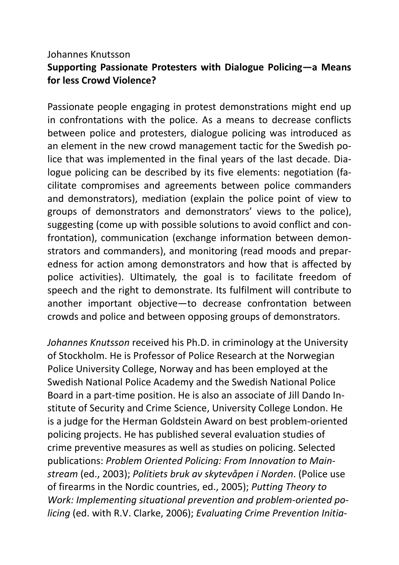# Johannes Knutsson **Supporting Passionate Protesters with Dialogue Policing—a Means for less Crowd Violence?**

Passionate people engaging in protest demonstrations might end up in confrontations with the police. As a means to decrease conflicts between police and protesters, dialogue policing was introduced as an element in the new crowd management tactic for the Swedish police that was implemented in the final years of the last decade. Dialogue policing can be described by its five elements: negotiation (facilitate compromises and agreements between police commanders and demonstrators), mediation (explain the police point of view to groups of demonstrators and demonstrators' views to the police), suggesting (come up with possible solutions to avoid conflict and confrontation), communication (exchange information between demonstrators and commanders), and monitoring (read moods and preparedness for action among demonstrators and how that is affected by police activities). Ultimately, the goal is to facilitate freedom of speech and the right to demonstrate. Its fulfilment will contribute to another important objective—to decrease confrontation between crowds and police and between opposing groups of demonstrators.

*Johannes Knutsson* received his Ph.D. in criminology at the University of Stockholm. He is Professor of Police Research at the Norwegian Police University College, Norway and has been employed at the Swedish National Police Academy and the Swedish National Police Board in a part-time position. He is also an associate of Jill Dando Institute of Security and Crime Science, University College London. He is a judge for the Herman Goldstein Award on best problem-oriented policing projects. He has published several evaluation studies of crime preventive measures as well as studies on policing. Selected publications: *Problem Oriented Policing: From Innovation to Mainstream* (ed., 2003); *Politiets bruk av skytevåpen i Norden*. (Police use of firearms in the Nordic countries, ed., 2005); *Putting Theory to Work: Implementing situational prevention and problem-oriented policing* (ed. with R.V. Clarke, 2006); *Evaluating Crime Prevention Initia-*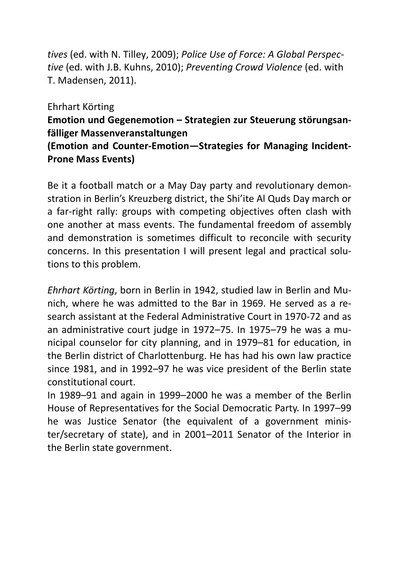*tives* (ed. with N. Tilley, 2009); *Police Use of Force: A Global Perspective* (ed. with J.B. Kuhns, 2010); *Preventing Crowd Violence* (ed. with T. Madensen, 2011).

Ehrhart Körting

# **Emotion und Gegenemotion – Strategien zur Steuerung störungsanfälliger Massenveranstaltungen**

# **(Emotion and Counter-Emotion—Strategies for Managing Incident-Prone Mass Events)**

Be it a football match or a May Day party and revolutionary demonstration in Berlin's Kreuzberg district, the Shi'ite Al Quds Day march or a far-right rally: groups with competing objectives often clash with one another at mass events. The fundamental freedom of assembly and demonstration is sometimes difficult to reconcile with security concerns. In this presentation I will present legal and practical solutions to this problem.

*Ehrhart Körting*, born in Berlin in 1942, studied law in Berlin and Munich, where he was admitted to the Bar in 1969. He served as a research assistant at the Federal Administrative Court in 1970-72 and as an administrative court judge in 1972–75. In 1975–79 he was a municipal counselor for city planning, and in 1979–81 for education, in the Berlin district of Charlottenburg. He has had his own law practice since 1981, and in 1992–97 he was vice president of the Berlin state constitutional court.

In 1989–91 and again in 1999–2000 he was a member of the Berlin House of Representatives for the Social Democratic Party. In 1997–99 he was Justice Senator (the equivalent of a government minister/secretary of state), and in 2001–2011 Senator of the Interior in the Berlin state government.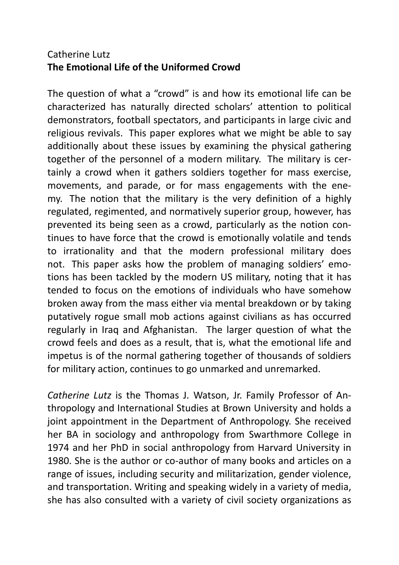# Catherine Lutz **The Emotional Life of the Uniformed Crowd**

The question of what a "crowd" is and how its emotional life can be characterized has naturally directed scholars' attention to political demonstrators, football spectators, and participants in large civic and religious revivals. This paper explores what we might be able to say additionally about these issues by examining the physical gathering together of the personnel of a modern military. The military is certainly a crowd when it gathers soldiers together for mass exercise, movements, and parade, or for mass engagements with the enemy. The notion that the military is the very definition of a highly regulated, regimented, and normatively superior group, however, has prevented its being seen as a crowd, particularly as the notion continues to have force that the crowd is emotionally volatile and tends to irrationality and that the modern professional military does not. This paper asks how the problem of managing soldiers' emotions has been tackled by the modern US military, noting that it has tended to focus on the emotions of individuals who have somehow broken away from the mass either via mental breakdown or by taking putatively rogue small mob actions against civilians as has occurred regularly in Iraq and Afghanistan. The larger question of what the crowd feels and does as a result, that is, what the emotional life and impetus is of the normal gathering together of thousands of soldiers for military action, continues to go unmarked and unremarked.

*Catherine Lutz* is the Thomas J. Watson, Jr. Family Professor of Anthropology and International Studies at Brown University and holds a joint appointment in the Department of Anthropology. She received her BA in sociology and anthropology from Swarthmore College in 1974 and her PhD in social anthropology from Harvard University in 1980. She is the author or co-author of many books and articles on a range of issues, including security and militarization, gender violence, and transportation. Writing and speaking widely in a variety of media, she has also consulted with a variety of civil society organizations as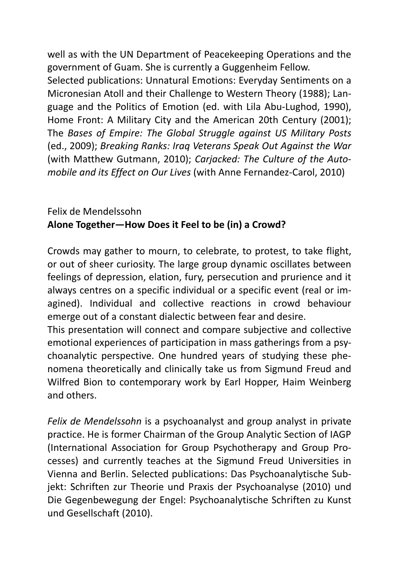well as with the UN Department of Peacekeeping Operations and the government of Guam. She is currently a Guggenheim Fellow.

Selected publications: Unnatural Emotions: Everyday Sentiments on a Micronesian Atoll and their Challenge to Western Theory (1988); Language and the Politics of Emotion (ed. with Lila Abu-Lughod, 1990), Home Front: A Military City and the American 20th Century (2001); The *Bases of Empire: The Global Struggle against US Military Posts* (ed., 2009); *Breaking Ranks: Iraq Veterans Speak Out Against the War* (with Matthew Gutmann, 2010); *Carjacked: The Culture of the Automobile and its Effect on Our Lives* (with Anne Fernandez-Carol, 2010)

# Felix de Mendelssohn **Alone Together—How Does it Feel to be (in) a Crowd?**

Crowds may gather to mourn, to celebrate, to protest, to take flight, or out of sheer curiosity. The large group dynamic oscillates between feelings of depression, elation, fury, persecution and prurience and it always centres on a specific individual or a specific event (real or imagined). Individual and collective reactions in crowd behaviour emerge out of a constant dialectic between fear and desire.

This presentation will connect and compare subjective and collective emotional experiences of participation in mass gatherings from a psychoanalytic perspective. One hundred years of studying these phenomena theoretically and clinically take us from Sigmund Freud and Wilfred Bion to contemporary work by Earl Hopper, Haim Weinberg and others.

*Felix de Mendelssohn* is a psychoanalyst and group analyst in private practice. He is former Chairman of the Group Analytic Section of IAGP (International Association for Group Psychotherapy and Group Processes) and currently teaches at the Sigmund Freud Universities in Vienna and Berlin. Selected publications: Das Psychoanalytische Subjekt: Schriften zur Theorie und Praxis der Psychoanalyse (2010) und Die Gegenbewegung der Engel: Psychoanalytische Schriften zu Kunst und Gesellschaft (2010).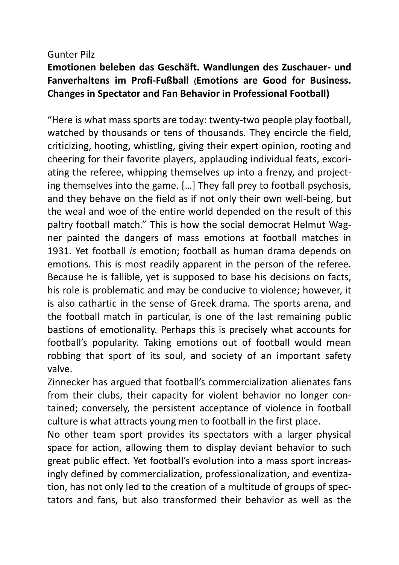### Gunter Pilz

# **Emotionen beleben das Geschäft. Wandlungen des Zuschauer- und Fanverhaltens im Profi-Fußball (Emotions are Good for Business. Changes in Spectator and Fan Behavior in Professional Football)**

"Here is what mass sports are today: twenty-two people play football, watched by thousands or tens of thousands. They encircle the field, criticizing, hooting, whistling, giving their expert opinion, rooting and cheering for their favorite players, applauding individual feats, excoriating the referee, whipping themselves up into a frenzy, and projecting themselves into the game. […] They fall prey to football psychosis, and they behave on the field as if not only their own well-being, but the weal and woe of the entire world depended on the result of this paltry football match." This is how the social democrat Helmut Wagner painted the dangers of mass emotions at football matches in 1931. Yet football *is* emotion; football as human drama depends on emotions. This is most readily apparent in the person of the referee. Because he is fallible, yet is supposed to base his decisions on facts, his role is problematic and may be conducive to violence; however, it is also cathartic in the sense of Greek drama. The sports arena, and the football match in particular, is one of the last remaining public bastions of emotionality. Perhaps this is precisely what accounts for football's popularity. Taking emotions out of football would mean robbing that sport of its soul, and society of an important safety valve.

Zinnecker has argued that football's commercialization alienates fans from their clubs, their capacity for violent behavior no longer contained; conversely, the persistent acceptance of violence in football culture is what attracts young men to football in the first place.

No other team sport provides its spectators with a larger physical space for action, allowing them to display deviant behavior to such great public effect. Yet football's evolution into a mass sport increasingly defined by commercialization, professionalization, and eventization, has not only led to the creation of a multitude of groups of spectators and fans, but also transformed their behavior as well as the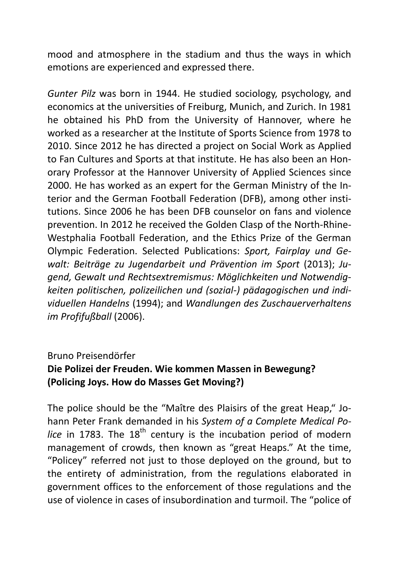mood and atmosphere in the stadium and thus the ways in which emotions are experienced and expressed there.

*Gunter Pilz* was born in 1944. He studied sociology, psychology, and economics at the universities of Freiburg, Munich, and Zurich. In 1981 he obtained his PhD from the University of Hannover, where he worked as a researcher at the Institute of Sports Science from 1978 to 2010. Since 2012 he has directed a project on Social Work as Applied to Fan Cultures and Sports at that institute. He has also been an Honorary Professor at the Hannover University of Applied Sciences since 2000. He has worked as an expert for the German Ministry of the Interior and the German Football Federation (DFB), among other institutions. Since 2006 he has been DFB counselor on fans and violence prevention. In 2012 he received the Golden Clasp of the North-Rhine-Westphalia Football Federation, and the Ethics Prize of the German Olympic Federation. Selected Publications: *Sport, Fairplay und Gewalt: Beiträge zu Jugendarbeit und Prävention im Sport* (2013); *Jugend, Gewalt und Rechtsextremismus: Möglichkeiten und Notwendigkeiten politischen, polizeilichen und (sozial-) pädagogischen und individuellen Handelns* (1994); and *Wandlungen des Zuschauerverhaltens im Profifußball* (2006).

## Bruno Preisendörfer

# **Die Polizei der Freuden. Wie kommen Massen in Bewegung? (Policing Joys. How do Masses Get Moving?)**

The police should be the "Maître des Plaisirs of the great Heap," Johann Peter Frank demanded in his *System of a Complete Medical Police* in 1783. The 18<sup>th</sup> century is the incubation period of modern management of crowds, then known as "great Heaps." At the time, "Policey" referred not just to those deployed on the ground, but to the entirety of administration, from the regulations elaborated in government offices to the enforcement of those regulations and the use of violence in cases of insubordination and turmoil. The "police of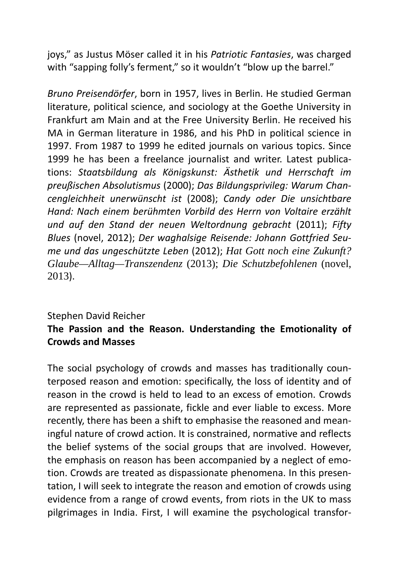joys," as Justus Möser called it in his *Patriotic Fantasies*, was charged with "sapping folly's ferment," so it wouldn't "blow up the barrel."

*Bruno Preisendörfer*, born in 1957, lives in Berlin. He studied German literature, political science, and sociology at the Goethe University in Frankfurt am Main and at the Free University Berlin. He received his MA in German literature in 1986, and his PhD in political science in 1997. From 1987 to 1999 he edited journals on various topics. Since 1999 he has been a freelance journalist and writer. Latest publications: *Staatsbildung als Königskunst: Ästhetik und Herrschaft im preußischen Absolutismus* (2000); *Das Bildungsprivileg: Warum Chancengleichheit unerwünscht ist* (2008); *Candy oder Die unsichtbare Hand: Nach einem berühmten Vorbild des Herrn von Voltaire erzählt und auf den Stand der neuen Weltordnung gebracht* (2011); *Fifty Blues* (novel, 2012); *Der waghalsige Reisende: Johann Gottfried Seume und das ungeschützte Leben* (2012); *Hat Gott noch eine Zukunft? Glaube—Alltag—Transzendenz* (2013); *Die Schutzbefohlenen* (novel, 2013).

# Stephen David Reicher **The Passion and the Reason. Understanding the Emotionality of Crowds and Masses**

The social psychology of crowds and masses has traditionally counterposed reason and emotion: specifically, the loss of identity and of reason in the crowd is held to lead to an excess of emotion. Crowds are represented as passionate, fickle and ever liable to excess. More recently, there has been a shift to emphasise the reasoned and meaningful nature of crowd action. It is constrained, normative and reflects the belief systems of the social groups that are involved. However, the emphasis on reason has been accompanied by a neglect of emotion. Crowds are treated as dispassionate phenomena. In this presentation, I will seek to integrate the reason and emotion of crowds using evidence from a range of crowd events, from riots in the UK to mass pilgrimages in India. First, I will examine the psychological transfor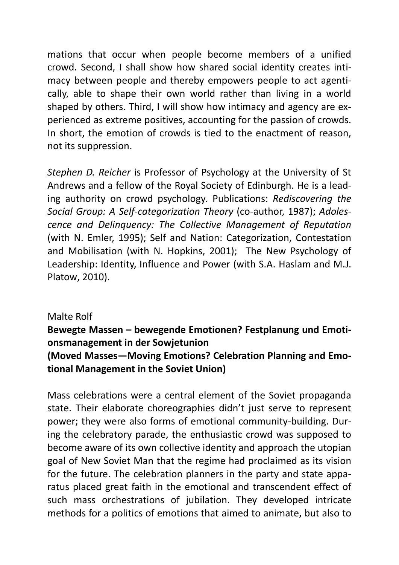mations that occur when people become members of a unified crowd. Second, I shall show how shared social identity creates intimacy between people and thereby empowers people to act agentically, able to shape their own world rather than living in a world shaped by others. Third, I will show how intimacy and agency are experienced as extreme positives, accounting for the passion of crowds. In short, the emotion of crowds is tied to the enactment of reason, not its suppression.

*Stephen D. Reicher* is Professor of Psychology at the University of St Andrews and a fellow of the Royal Society of Edinburgh. He is a leading authority on crowd psychology. Publications: *Rediscovering the Social Group: A Self-categorization Theory* (co-author, 1987); *Adolescence and Delinquency: The Collective Management of Reputation*  (with N. Emler, 1995); Self and Nation: Categorization, Contestation and Mobilisation (with N. Hopkins, 2001); The New Psychology of Leadership: Identity, Influence and Power (with S.A. Haslam and M.J. Platow, 2010).

## Malte Rolf

# **Bewegte Massen – bewegende Emotionen? Festplanung und Emotionsmanagement in der Sowjetunion (Moved Masses—Moving Emotions? Celebration Planning and Emotional Management in the Soviet Union)**

Mass celebrations were a central element of the Soviet propaganda state. Their elaborate choreographies didn't just serve to represent power; they were also forms of emotional community-building. During the celebratory parade, the enthusiastic crowd was supposed to become aware of its own collective identity and approach the utopian goal of New Soviet Man that the regime had proclaimed as its vision for the future. The celebration planners in the party and state apparatus placed great faith in the emotional and transcendent effect of such mass orchestrations of jubilation. They developed intricate methods for a politics of emotions that aimed to animate, but also to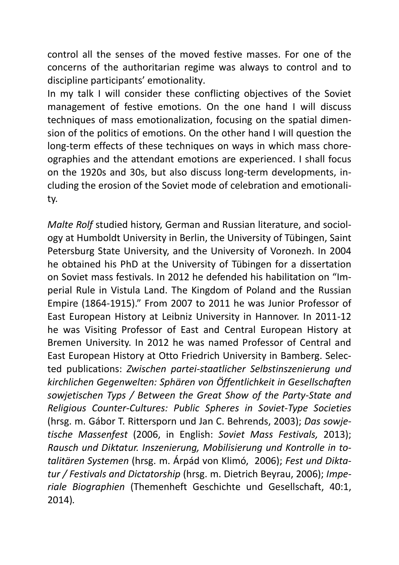control all the senses of the moved festive masses. For one of the concerns of the authoritarian regime was always to control and to discipline participants' emotionality.

In my talk I will consider these conflicting objectives of the Soviet management of festive emotions. On the one hand I will discuss techniques of mass emotionalization, focusing on the spatial dimension of the politics of emotions. On the other hand I will question the long-term effects of these techniques on ways in which mass choreographies and the attendant emotions are experienced. I shall focus on the 1920s and 30s, but also discuss long-term developments, including the erosion of the Soviet mode of celebration and emotionality.

*Malte Rolf* studied history, German and Russian literature, and sociology at Humboldt University in Berlin, the University of Tübingen, Saint Petersburg State University, and the University of Voronezh. In 2004 he obtained his PhD at the University of Tübingen for a dissertation on Soviet mass festivals. In 2012 he defended his habilitation on "Imperial Rule in Vistula Land. The Kingdom of Poland and the Russian Empire (1864-1915)." From 2007 to 2011 he was Junior Professor of East European History at Leibniz University in Hannover. In 2011-12 he was Visiting Professor of East and Central European History at Bremen University. In 2012 he was named Professor of Central and East European History at Otto Friedrich University in Bamberg. Selected publications: *Zwischen partei-staatlicher Selbstinszenierung und kirchlichen Gegenwelten: Sphären von Öffentlichkeit in Gesellschaften sowjetischen Typs / Between the Great Show of the Party-State and Religious Counter-Cultures: Public Spheres in Soviet-Type Societies* (hrsg. m. Gábor T. Rittersporn und Jan C. Behrends, 2003); *Das sowjetische Massenfest* (2006, in English: *Soviet Mass Festivals,* 2013); *Rausch und Diktatur. Inszenierung, Mobilisierung und Kontrolle in totalitären Systemen* (hrsg. m. Árpád von Klimó, 2006); *Fest und Diktatur / Festivals and Dictatorship* (hrsg. m. Dietrich Beyrau, 2006); *Imperiale Biographien* (Themenheft Geschichte und Gesellschaft, 40:1, 2014)*.*